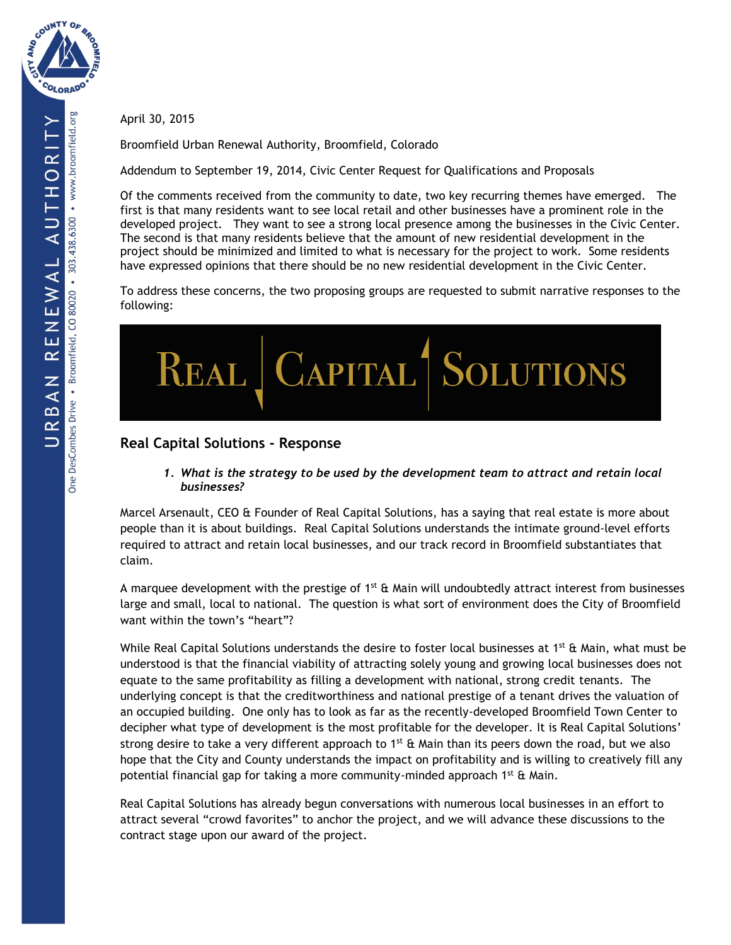

April 30, 2015

Broomfield Urban Renewal Authority, Broomfield, Colorado

Addendum to September 19, 2014, Civic Center Request for Qualifications and Proposals

Of the comments received from the community to date, two key recurring themes have emerged. The first is that many residents want to see local retail and other businesses have a prominent role in the developed project. They want to see a strong local presence among the businesses in the Civic Center. The second is that many residents believe that the amount of new residential development in the project should be minimized and limited to what is necessary for the project to work. Some residents have expressed opinions that there should be no new residential development in the Civic Center.

To address these concerns, the two proposing groups are requested to submit narrative responses to the following:



# **Real Capital Solutions - Response**

*1. What is the strategy to be used by the development team to attract and retain local businesses?* 

Marcel Arsenault, CEO & Founder of Real Capital Solutions, has a saying that real estate is more about people than it is about buildings. Real Capital Solutions understands the intimate ground-level efforts required to attract and retain local businesses, and our track record in Broomfield substantiates that claim.

A marquee development with the prestige of  $1^{st}$  & Main will undoubtedly attract interest from businesses large and small, local to national. The question is what sort of environment does the City of Broomfield want within the town's "heart"?

While Real Capital Solutions understands the desire to foster local businesses at 1<sup>st</sup> & Main, what must be understood is that the financial viability of attracting solely young and growing local businesses does not equate to the same profitability as filling a development with national, strong credit tenants. The underlying concept is that the creditworthiness and national prestige of a tenant drives the valuation of an occupied building. One only has to look as far as the recently-developed Broomfield Town Center to decipher what type of development is the most profitable for the developer. It is Real Capital Solutions' strong desire to take a very different approach to 1<sup>st</sup> & Main than its peers down the road, but we also hope that the City and County understands the impact on profitability and is willing to creatively fill any potential financial gap for taking a more community-minded approach 1<sup>st</sup> & Main.

Real Capital Solutions has already begun conversations with numerous local businesses in an effort to attract several "crowd favorites" to anchor the project, and we will advance these discussions to the contract stage upon our award of the project.